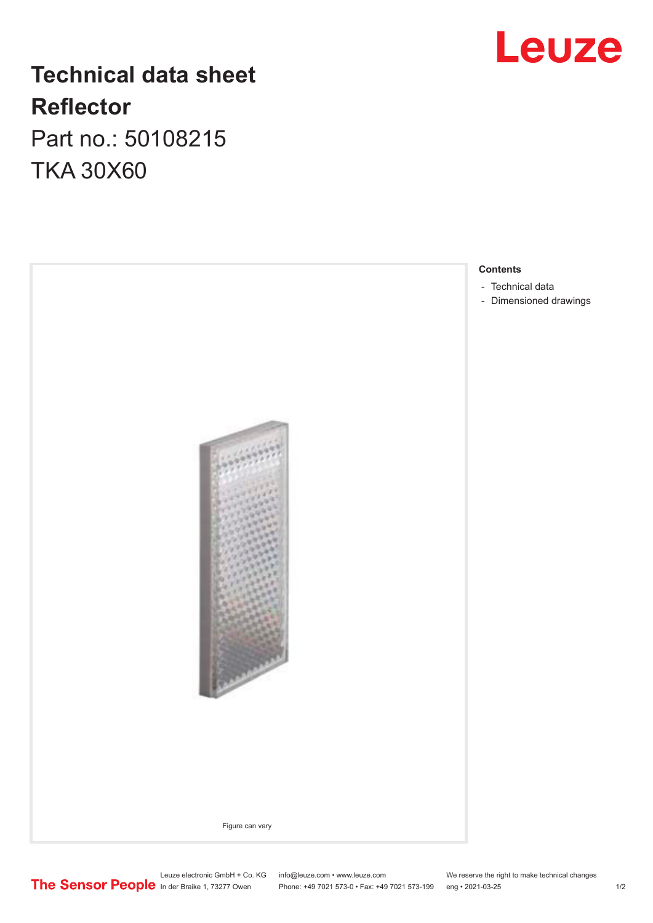## **Technical data sheet Reflector** Part no.: 50108215

TKA 30X60





Leuze electronic GmbH + Co. KG info@leuze.com • www.leuze.com We reserve the right to make technical changes In der Braike 1, 73277 Owen Phone: +49 7021 573-0 • Fax: +49 7021 573-199 eng • 2021-03-25 1 /2